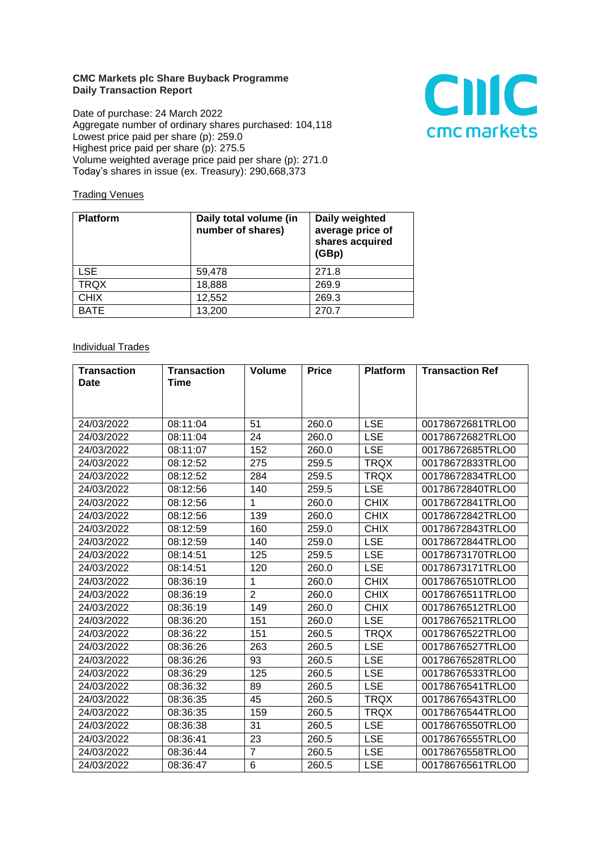## **CMC Markets plc Share Buyback Programme Daily Transaction Report**

Date of purchase: 24 March 2022 Aggregate number of ordinary shares purchased: 104,118 Lowest price paid per share (p): 259.0 Highest price paid per share (p): 275.5 Volume weighted average price paid per share (p): 271.0 Today's shares in issue (ex. Treasury): 290,668,373



## **Trading Venues**

| <b>Platform</b> | Daily total volume (in<br>number of shares) | Daily weighted<br>average price of<br>shares acquired<br>(GBp) |
|-----------------|---------------------------------------------|----------------------------------------------------------------|
| <b>LSE</b>      | 59,478                                      | 271.8                                                          |
| <b>TRQX</b>     | 18,888                                      | 269.9                                                          |
| <b>CHIX</b>     | 12,552                                      | 269.3                                                          |
| <b>BATE</b>     | 13,200                                      | 270.7                                                          |

## **Individual Trades**

| <b>Transaction</b> | <b>Transaction</b> | <b>Volume</b>  | <b>Price</b> | <b>Platform</b> | <b>Transaction Ref</b> |
|--------------------|--------------------|----------------|--------------|-----------------|------------------------|
| <b>Date</b>        | <b>Time</b>        |                |              |                 |                        |
|                    |                    |                |              |                 |                        |
|                    |                    |                |              |                 |                        |
| 24/03/2022         | 08:11:04           | 51             | 260.0        | <b>LSE</b>      | 00178672681TRLO0       |
| 24/03/2022         | 08:11:04           | 24             | 260.0        | <b>LSE</b>      | 00178672682TRLO0       |
| 24/03/2022         | 08:11:07           | 152            | 260.0        | <b>LSE</b>      | 00178672685TRLO0       |
| 24/03/2022         | 08:12:52           | 275            | 259.5        | <b>TRQX</b>     | 00178672833TRLO0       |
| 24/03/2022         | 08:12:52           | 284            | 259.5        | <b>TRQX</b>     | 00178672834TRLO0       |
| 24/03/2022         | 08:12:56           | 140            | 259.5        | <b>LSE</b>      | 00178672840TRLO0       |
| 24/03/2022         | 08:12:56           | 1              | 260.0        | <b>CHIX</b>     | 00178672841TRLO0       |
| 24/03/2022         | 08:12:56           | 139            | 260.0        | <b>CHIX</b>     | 00178672842TRLO0       |
| 24/03/2022         | 08:12:59           | 160            | 259.0        | <b>CHIX</b>     | 00178672843TRLO0       |
| 24/03/2022         | 08:12:59           | 140            | 259.0        | <b>LSE</b>      | 00178672844TRLO0       |
| 24/03/2022         | 08:14:51           | 125            | 259.5        | <b>LSE</b>      | 00178673170TRLO0       |
| 24/03/2022         | 08:14:51           | 120            | 260.0        | <b>LSE</b>      | 00178673171TRLO0       |
| 24/03/2022         | 08:36:19           | 1              | 260.0        | <b>CHIX</b>     | 00178676510TRLO0       |
| 24/03/2022         | 08:36:19           | $\overline{2}$ | 260.0        | <b>CHIX</b>     | 00178676511TRLO0       |
| 24/03/2022         | 08:36:19           | 149            | 260.0        | <b>CHIX</b>     | 00178676512TRLO0       |
| 24/03/2022         | 08:36:20           | 151            | 260.0        | <b>LSE</b>      | 00178676521TRLO0       |
| 24/03/2022         | 08:36:22           | 151            | 260.5        | <b>TRQX</b>     | 00178676522TRLO0       |
| 24/03/2022         | 08:36:26           | 263            | 260.5        | <b>LSE</b>      | 00178676527TRLO0       |
| 24/03/2022         | 08:36:26           | 93             | 260.5        | <b>LSE</b>      | 00178676528TRLO0       |
| 24/03/2022         | 08:36:29           | 125            | 260.5        | <b>LSE</b>      | 00178676533TRLO0       |
| 24/03/2022         | 08:36:32           | 89             | 260.5        | <b>LSE</b>      | 00178676541TRLO0       |
| 24/03/2022         | 08:36:35           | 45             | 260.5        | <b>TRQX</b>     | 00178676543TRLO0       |
| 24/03/2022         | 08:36:35           | 159            | 260.5        | <b>TRQX</b>     | 00178676544TRLO0       |
| 24/03/2022         | 08:36:38           | 31             | 260.5        | <b>LSE</b>      | 00178676550TRLO0       |
| 24/03/2022         | 08:36:41           | 23             | 260.5        | <b>LSE</b>      | 00178676555TRLO0       |
| 24/03/2022         | 08:36:44           | $\overline{7}$ | 260.5        | <b>LSE</b>      | 00178676558TRLO0       |
| 24/03/2022         | 08:36:47           | 6              | 260.5        | <b>LSE</b>      | 00178676561TRLO0       |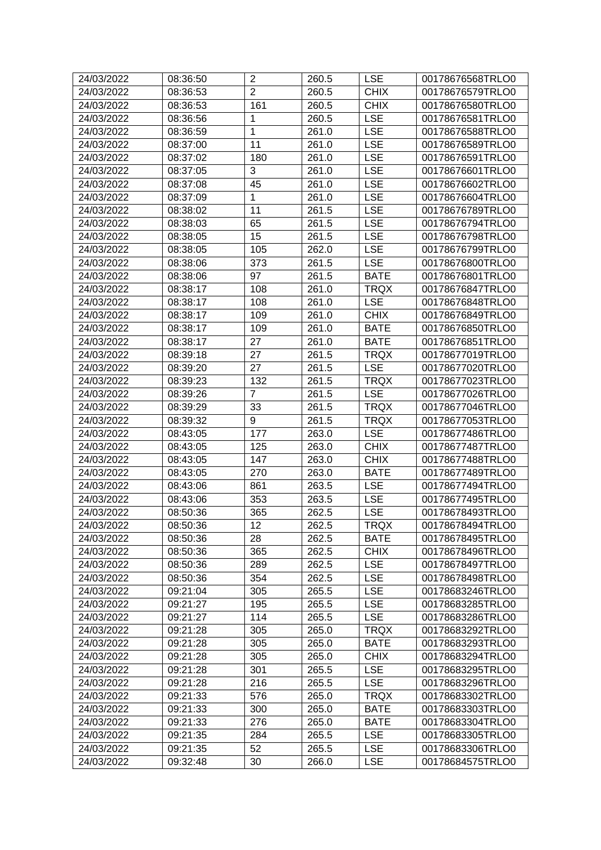| 24/03/2022 | 08:36:50 | $\mathbf 2$    | 260.5 | <b>LSE</b>  | 00178676568TRLO0 |
|------------|----------|----------------|-------|-------------|------------------|
| 24/03/2022 | 08:36:53 | $\overline{2}$ | 260.5 | <b>CHIX</b> | 00178676579TRLO0 |
| 24/03/2022 | 08:36:53 | 161            | 260.5 | <b>CHIX</b> | 00178676580TRLO0 |
| 24/03/2022 | 08:36:56 | 1              | 260.5 | <b>LSE</b>  | 00178676581TRLO0 |
| 24/03/2022 | 08:36:59 | 1              | 261.0 | <b>LSE</b>  | 00178676588TRLO0 |
| 24/03/2022 | 08:37:00 | 11             | 261.0 | <b>LSE</b>  | 00178676589TRLO0 |
| 24/03/2022 | 08:37:02 | 180            | 261.0 | <b>LSE</b>  | 00178676591TRLO0 |
| 24/03/2022 | 08:37:05 | 3              | 261.0 | <b>LSE</b>  | 00178676601TRLO0 |
| 24/03/2022 | 08:37:08 | 45             | 261.0 | <b>LSE</b>  | 00178676602TRLO0 |
| 24/03/2022 | 08:37:09 | 1              | 261.0 | <b>LSE</b>  | 00178676604TRLO0 |
| 24/03/2022 | 08:38:02 | 11             | 261.5 | <b>LSE</b>  | 00178676789TRLO0 |
| 24/03/2022 | 08:38:03 | 65             | 261.5 | <b>LSE</b>  | 00178676794TRLO0 |
| 24/03/2022 | 08:38:05 | 15             | 261.5 | <b>LSE</b>  | 00178676798TRLO0 |
| 24/03/2022 | 08:38:05 | 105            | 262.0 | <b>LSE</b>  | 00178676799TRLO0 |
| 24/03/2022 | 08:38:06 | 373            | 261.5 | <b>LSE</b>  | 00178676800TRLO0 |
| 24/03/2022 | 08:38:06 | 97             | 261.5 | <b>BATE</b> | 00178676801TRLO0 |
| 24/03/2022 | 08:38:17 | 108            | 261.0 | <b>TRQX</b> | 00178676847TRLO0 |
| 24/03/2022 | 08:38:17 | 108            | 261.0 | <b>LSE</b>  | 00178676848TRLO0 |
| 24/03/2022 | 08:38:17 | 109            | 261.0 | <b>CHIX</b> | 00178676849TRLO0 |
| 24/03/2022 | 08:38:17 | 109            | 261.0 | <b>BATE</b> | 00178676850TRLO0 |
| 24/03/2022 | 08:38:17 | 27             | 261.0 | <b>BATE</b> | 00178676851TRLO0 |
| 24/03/2022 | 08:39:18 | 27             | 261.5 | <b>TRQX</b> | 00178677019TRLO0 |
| 24/03/2022 | 08:39:20 | 27             | 261.5 | <b>LSE</b>  | 00178677020TRLO0 |
| 24/03/2022 | 08:39:23 | 132            | 261.5 | <b>TRQX</b> | 00178677023TRLO0 |
| 24/03/2022 | 08:39:26 | $\overline{7}$ | 261.5 | <b>LSE</b>  | 00178677026TRLO0 |
| 24/03/2022 | 08:39:29 | 33             | 261.5 | <b>TRQX</b> | 00178677046TRLO0 |
| 24/03/2022 | 08:39:32 | 9              | 261.5 | <b>TRQX</b> | 00178677053TRLO0 |
| 24/03/2022 | 08:43:05 | 177            | 263.0 | <b>LSE</b>  | 00178677486TRLO0 |
| 24/03/2022 | 08:43:05 | 125            | 263.0 | <b>CHIX</b> | 00178677487TRLO0 |
| 24/03/2022 | 08:43:05 | 147            | 263.0 | <b>CHIX</b> | 00178677488TRLO0 |
| 24/03/2022 | 08:43:05 | 270            | 263.0 | <b>BATE</b> | 00178677489TRLO0 |
| 24/03/2022 | 08:43:06 | 861            | 263.5 | <b>LSE</b>  | 00178677494TRLO0 |
| 24/03/2022 | 08:43:06 | 353            | 263.5 | <b>LSE</b>  | 00178677495TRLO0 |
| 24/03/2022 | 08:50:36 | 365            | 262.5 | <b>LSE</b>  | 00178678493TRLO0 |
| 24/03/2022 | 08:50:36 | 12             | 262.5 | <b>TRQX</b> | 00178678494TRLO0 |
| 24/03/2022 | 08:50:36 | 28             | 262.5 | <b>BATE</b> | 00178678495TRLO0 |
| 24/03/2022 | 08:50:36 | 365            | 262.5 | <b>CHIX</b> | 00178678496TRLO0 |
| 24/03/2022 | 08:50:36 | 289            | 262.5 | <b>LSE</b>  | 00178678497TRLO0 |
| 24/03/2022 | 08:50:36 | 354            | 262.5 | <b>LSE</b>  | 00178678498TRLO0 |
| 24/03/2022 | 09:21:04 | 305            | 265.5 | <b>LSE</b>  | 00178683246TRLO0 |
| 24/03/2022 | 09:21:27 | 195            | 265.5 | <b>LSE</b>  | 00178683285TRLO0 |
| 24/03/2022 | 09:21:27 | 114            | 265.5 | <b>LSE</b>  | 00178683286TRLO0 |
| 24/03/2022 | 09:21:28 | 305            | 265.0 | <b>TRQX</b> | 00178683292TRLO0 |
| 24/03/2022 | 09:21:28 | 305            | 265.0 | <b>BATE</b> | 00178683293TRLO0 |
| 24/03/2022 | 09:21:28 | 305            | 265.0 | <b>CHIX</b> | 00178683294TRLO0 |
| 24/03/2022 | 09:21:28 | 301            | 265.5 | <b>LSE</b>  | 00178683295TRLO0 |
| 24/03/2022 | 09:21:28 | 216            | 265.5 | <b>LSE</b>  | 00178683296TRLO0 |
| 24/03/2022 | 09:21:33 | 576            | 265.0 | <b>TRQX</b> | 00178683302TRLO0 |
| 24/03/2022 | 09:21:33 | 300            | 265.0 | <b>BATE</b> | 00178683303TRLO0 |
| 24/03/2022 | 09:21:33 | 276            | 265.0 | <b>BATE</b> | 00178683304TRLO0 |
| 24/03/2022 | 09:21:35 | 284            | 265.5 | <b>LSE</b>  | 00178683305TRLO0 |
| 24/03/2022 | 09:21:35 | 52             | 265.5 | <b>LSE</b>  | 00178683306TRLO0 |
| 24/03/2022 | 09:32:48 | 30             | 266.0 | <b>LSE</b>  | 00178684575TRLO0 |
|            |          |                |       |             |                  |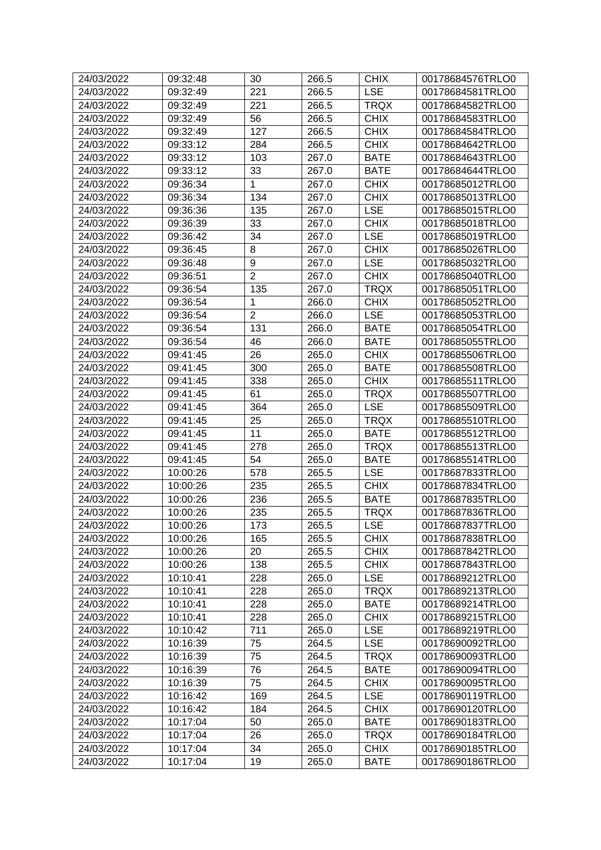| 24/03/2022 | 09:32:48 | 30             | 266.5 | <b>CHIX</b> | 00178684576TRLO0 |
|------------|----------|----------------|-------|-------------|------------------|
| 24/03/2022 | 09:32:49 | 221            | 266.5 | <b>LSE</b>  | 00178684581TRLO0 |
| 24/03/2022 | 09:32:49 | 221            | 266.5 | <b>TRQX</b> | 00178684582TRLO0 |
| 24/03/2022 | 09:32:49 | 56             | 266.5 | <b>CHIX</b> | 00178684583TRLO0 |
| 24/03/2022 | 09:32:49 | 127            | 266.5 | <b>CHIX</b> | 00178684584TRLO0 |
| 24/03/2022 | 09:33:12 | 284            | 266.5 | <b>CHIX</b> | 00178684642TRLO0 |
| 24/03/2022 | 09:33:12 | 103            | 267.0 | <b>BATE</b> | 00178684643TRLO0 |
| 24/03/2022 | 09:33:12 | 33             | 267.0 | <b>BATE</b> | 00178684644TRLO0 |
| 24/03/2022 | 09:36:34 | $\mathbf{1}$   | 267.0 | <b>CHIX</b> | 00178685012TRLO0 |
| 24/03/2022 | 09:36:34 | 134            | 267.0 | <b>CHIX</b> | 00178685013TRLO0 |
| 24/03/2022 | 09:36:36 | 135            | 267.0 | <b>LSE</b>  | 00178685015TRLO0 |
| 24/03/2022 | 09:36:39 | 33             | 267.0 | <b>CHIX</b> | 00178685018TRLO0 |
| 24/03/2022 | 09:36:42 | 34             | 267.0 | <b>LSE</b>  | 00178685019TRLO0 |
| 24/03/2022 | 09:36:45 | 8              | 267.0 | <b>CHIX</b> | 00178685026TRLO0 |
| 24/03/2022 | 09:36:48 | 9              | 267.0 | <b>LSE</b>  | 00178685032TRLO0 |
| 24/03/2022 | 09:36:51 | $\overline{2}$ | 267.0 | <b>CHIX</b> | 00178685040TRLO0 |
| 24/03/2022 | 09:36:54 | 135            | 267.0 | <b>TRQX</b> | 00178685051TRLO0 |
| 24/03/2022 | 09:36:54 | 1              | 266.0 | <b>CHIX</b> | 00178685052TRLO0 |
| 24/03/2022 | 09:36:54 | $\overline{2}$ | 266.0 | <b>LSE</b>  | 00178685053TRLO0 |
| 24/03/2022 | 09:36:54 | 131            | 266.0 | <b>BATE</b> | 00178685054TRLO0 |
| 24/03/2022 | 09:36:54 | 46             | 266.0 | <b>BATE</b> | 00178685055TRLO0 |
| 24/03/2022 | 09:41:45 | 26             | 265.0 | <b>CHIX</b> | 00178685506TRLO0 |
| 24/03/2022 | 09:41:45 | 300            | 265.0 | <b>BATE</b> | 00178685508TRLO0 |
| 24/03/2022 | 09:41:45 | 338            | 265.0 | <b>CHIX</b> | 00178685511TRLO0 |
| 24/03/2022 | 09:41:45 | 61             | 265.0 | <b>TRQX</b> | 00178685507TRLO0 |
| 24/03/2022 | 09:41:45 | 364            | 265.0 | <b>LSE</b>  | 00178685509TRLO0 |
| 24/03/2022 | 09:41:45 | 25             | 265.0 | <b>TRQX</b> | 00178685510TRLO0 |
| 24/03/2022 | 09:41:45 | 11             | 265.0 | <b>BATE</b> | 00178685512TRLO0 |
| 24/03/2022 | 09:41:45 | 278            | 265.0 | <b>TRQX</b> | 00178685513TRLO0 |
| 24/03/2022 | 09:41:45 | 54             | 265.0 | <b>BATE</b> | 00178685514TRLO0 |
| 24/03/2022 | 10:00:26 | 578            | 265.5 | <b>LSE</b>  | 00178687833TRLO0 |
| 24/03/2022 | 10:00:26 | 235            | 265.5 | <b>CHIX</b> | 00178687834TRLO0 |
| 24/03/2022 | 10:00:26 | 236            | 265.5 | <b>BATE</b> | 00178687835TRLO0 |
| 24/03/2022 | 10:00:26 | 235            | 265.5 | <b>TRQX</b> | 00178687836TRLO0 |
| 24/03/2022 | 10:00:26 | 173            | 265.5 | <b>LSE</b>  | 00178687837TRLO0 |
| 24/03/2022 | 10:00:26 | 165            | 265.5 | <b>CHIX</b> | 00178687838TRLO0 |
| 24/03/2022 | 10:00:26 | 20             | 265.5 | <b>CHIX</b> | 00178687842TRLO0 |
| 24/03/2022 | 10:00:26 | 138            | 265.5 | <b>CHIX</b> | 00178687843TRLO0 |
| 24/03/2022 | 10:10:41 | 228            | 265.0 | <b>LSE</b>  | 00178689212TRLO0 |
| 24/03/2022 | 10:10:41 | 228            | 265.0 | <b>TRQX</b> | 00178689213TRLO0 |
| 24/03/2022 | 10:10:41 | 228            | 265.0 | <b>BATE</b> | 00178689214TRLO0 |
| 24/03/2022 | 10:10:41 | 228            | 265.0 | <b>CHIX</b> | 00178689215TRLO0 |
| 24/03/2022 | 10:10:42 | 711            | 265.0 | <b>LSE</b>  | 00178689219TRLO0 |
| 24/03/2022 | 10:16:39 | 75             | 264.5 | <b>LSE</b>  | 00178690092TRLO0 |
| 24/03/2022 | 10:16:39 | 75             | 264.5 | <b>TRQX</b> | 00178690093TRLO0 |
| 24/03/2022 | 10:16:39 | 76             | 264.5 | <b>BATE</b> | 00178690094TRLO0 |
| 24/03/2022 | 10:16:39 | 75             | 264.5 | <b>CHIX</b> | 00178690095TRLO0 |
| 24/03/2022 | 10:16:42 | 169            | 264.5 | <b>LSE</b>  | 00178690119TRLO0 |
| 24/03/2022 | 10:16:42 | 184            | 264.5 | <b>CHIX</b> | 00178690120TRLO0 |
| 24/03/2022 | 10:17:04 | 50             | 265.0 | <b>BATE</b> | 00178690183TRLO0 |
| 24/03/2022 | 10:17:04 | 26             | 265.0 | <b>TRQX</b> | 00178690184TRLO0 |
| 24/03/2022 | 10:17:04 | 34             | 265.0 | <b>CHIX</b> | 00178690185TRLO0 |
| 24/03/2022 | 10:17:04 | 19             | 265.0 | <b>BATE</b> | 00178690186TRLO0 |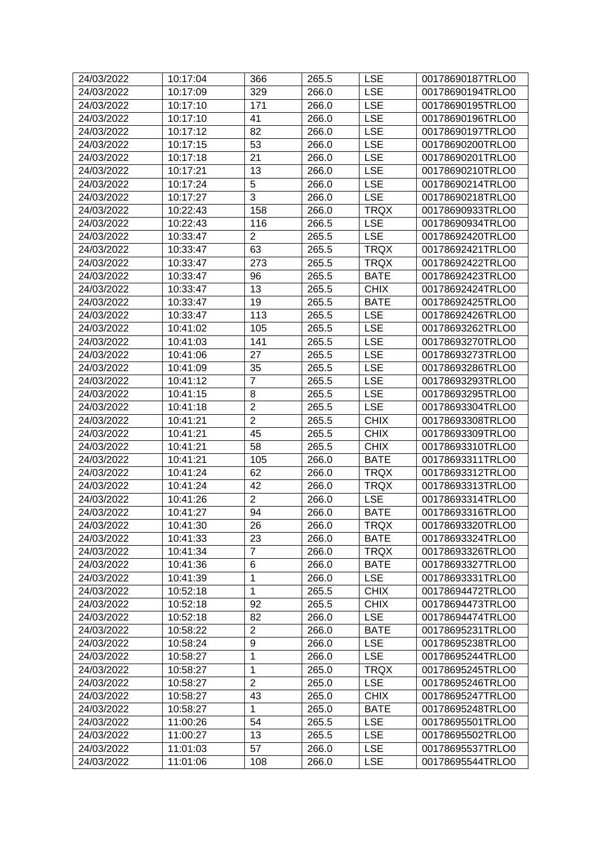| 24/03/2022 | 10:17:04 | 366             | 265.5 | <b>LSE</b>  | 00178690187TRLO0 |
|------------|----------|-----------------|-------|-------------|------------------|
| 24/03/2022 | 10:17:09 | 329             | 266.0 | <b>LSE</b>  | 00178690194TRLO0 |
| 24/03/2022 | 10:17:10 | 171             | 266.0 | <b>LSE</b>  | 00178690195TRLO0 |
| 24/03/2022 | 10:17:10 | 41              | 266.0 | <b>LSE</b>  | 00178690196TRLO0 |
| 24/03/2022 | 10:17:12 | 82              | 266.0 | <b>LSE</b>  | 00178690197TRLO0 |
| 24/03/2022 | 10:17:15 | 53              | 266.0 | <b>LSE</b>  | 00178690200TRLO0 |
| 24/03/2022 | 10:17:18 | 21              | 266.0 | <b>LSE</b>  | 00178690201TRLO0 |
| 24/03/2022 | 10:17:21 | 13              | 266.0 | <b>LSE</b>  | 00178690210TRLO0 |
| 24/03/2022 | 10:17:24 | 5               | 266.0 | <b>LSE</b>  | 00178690214TRLO0 |
| 24/03/2022 | 10:17:27 | 3               | 266.0 | <b>LSE</b>  | 00178690218TRLO0 |
| 24/03/2022 | 10:22:43 | 158             | 266.0 | <b>TRQX</b> | 00178690933TRLO0 |
| 24/03/2022 | 10:22:43 | 116             | 266.5 | <b>LSE</b>  | 00178690934TRLO0 |
| 24/03/2022 | 10:33:47 | $\overline{2}$  | 265.5 | <b>LSE</b>  | 00178692420TRLO0 |
| 24/03/2022 | 10:33:47 | 63              | 265.5 | <b>TRQX</b> | 00178692421TRLO0 |
| 24/03/2022 | 10:33:47 | 273             | 265.5 | <b>TRQX</b> | 00178692422TRLO0 |
| 24/03/2022 | 10:33:47 | 96              | 265.5 | <b>BATE</b> | 00178692423TRLO0 |
| 24/03/2022 | 10:33:47 | 13              | 265.5 | <b>CHIX</b> | 00178692424TRLO0 |
| 24/03/2022 | 10:33:47 | 19              | 265.5 | <b>BATE</b> | 00178692425TRLO0 |
| 24/03/2022 | 10:33:47 | 113             | 265.5 | <b>LSE</b>  | 00178692426TRLO0 |
| 24/03/2022 | 10:41:02 | 105             | 265.5 | <b>LSE</b>  | 00178693262TRLO0 |
| 24/03/2022 | 10:41:03 | 141             | 265.5 | <b>LSE</b>  | 00178693270TRLO0 |
| 24/03/2022 | 10:41:06 | 27              | 265.5 | <b>LSE</b>  | 00178693273TRLO0 |
| 24/03/2022 | 10:41:09 | 35              | 265.5 | <b>LSE</b>  | 00178693286TRLO0 |
| 24/03/2022 | 10:41:12 | $\overline{7}$  | 265.5 | <b>LSE</b>  | 00178693293TRLO0 |
| 24/03/2022 | 10:41:15 | 8               | 265.5 | <b>LSE</b>  | 00178693295TRLO0 |
| 24/03/2022 | 10:41:18 | $\overline{2}$  | 265.5 | <b>LSE</b>  | 00178693304TRLO0 |
| 24/03/2022 | 10:41:21 | $\overline{2}$  | 265.5 | <b>CHIX</b> | 00178693308TRLO0 |
| 24/03/2022 | 10:41:21 | 45              | 265.5 | <b>CHIX</b> | 00178693309TRLO0 |
| 24/03/2022 | 10:41:21 | 58              | 265.5 | <b>CHIX</b> | 00178693310TRLO0 |
| 24/03/2022 | 10:41:21 | 105             | 266.0 | <b>BATE</b> | 00178693311TRLO0 |
| 24/03/2022 | 10:41:24 | 62              | 266.0 | <b>TRQX</b> | 00178693312TRLO0 |
| 24/03/2022 | 10:41:24 | 42              | 266.0 | <b>TRQX</b> | 00178693313TRLO0 |
| 24/03/2022 | 10:41:26 | $\overline{2}$  | 266.0 | <b>LSE</b>  | 00178693314TRLO0 |
| 24/03/2022 | 10:41:27 | 94              | 266.0 | <b>BATE</b> | 00178693316TRLO0 |
| 24/03/2022 | 10:41:30 | $\overline{26}$ | 266.0 | <b>TRQX</b> | 00178693320TRLO0 |
| 24/03/2022 | 10:41:33 | 23              | 266.0 | <b>BATE</b> | 00178693324TRLO0 |
| 24/03/2022 | 10:41:34 | $\overline{7}$  | 266.0 | <b>TRQX</b> | 00178693326TRLO0 |
| 24/03/2022 | 10:41:36 | 6               | 266.0 | <b>BATE</b> | 00178693327TRLO0 |
| 24/03/2022 | 10:41:39 | $\mathbf{1}$    | 266.0 | <b>LSE</b>  | 00178693331TRLO0 |
| 24/03/2022 | 10:52:18 | $\mathbf{1}$    | 265.5 | <b>CHIX</b> | 00178694472TRLO0 |
| 24/03/2022 | 10:52:18 | 92              | 265.5 | <b>CHIX</b> | 00178694473TRLO0 |
| 24/03/2022 | 10:52:18 | 82              | 266.0 | <b>LSE</b>  | 00178694474TRLO0 |
| 24/03/2022 | 10:58:22 | $\overline{2}$  | 266.0 | <b>BATE</b> | 00178695231TRLO0 |
| 24/03/2022 | 10:58:24 | 9               | 266.0 | <b>LSE</b>  | 00178695238TRLO0 |
| 24/03/2022 | 10:58:27 | $\mathbf{1}$    | 266.0 | <b>LSE</b>  | 00178695244TRLO0 |
| 24/03/2022 | 10:58:27 | 1               | 265.0 | <b>TRQX</b> | 00178695245TRLO0 |
| 24/03/2022 | 10:58:27 | $\overline{2}$  | 265.0 | <b>LSE</b>  | 00178695246TRLO0 |
| 24/03/2022 | 10:58:27 | 43              | 265.0 | <b>CHIX</b> | 00178695247TRLO0 |
| 24/03/2022 | 10:58:27 | 1               | 265.0 | <b>BATE</b> | 00178695248TRLO0 |
| 24/03/2022 | 11:00:26 | 54              | 265.5 | <b>LSE</b>  | 00178695501TRLO0 |
| 24/03/2022 | 11:00:27 | 13              | 265.5 | <b>LSE</b>  | 00178695502TRLO0 |
| 24/03/2022 | 11:01:03 | 57              | 266.0 | <b>LSE</b>  | 00178695537TRLO0 |
| 24/03/2022 | 11:01:06 | 108             | 266.0 | <b>LSE</b>  | 00178695544TRLO0 |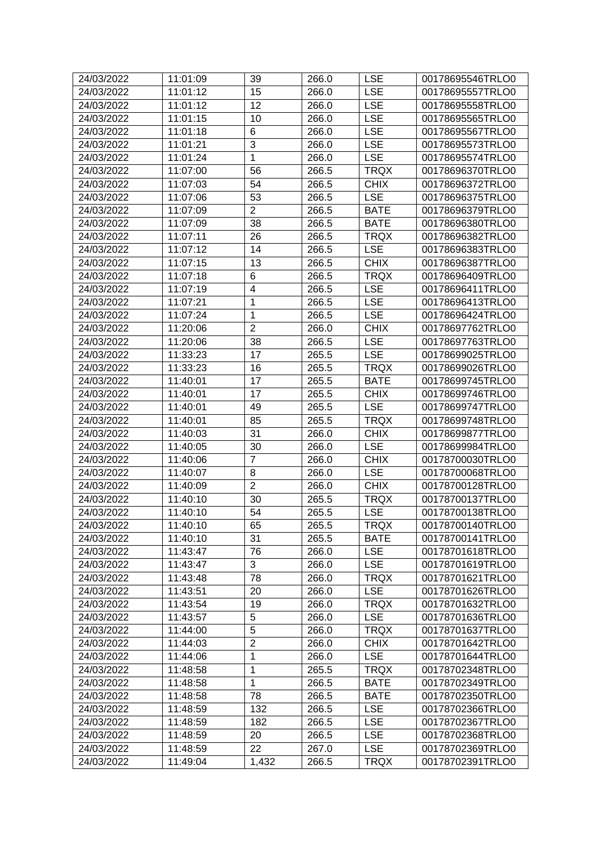| 24/03/2022 | 11:01:09 | 39                        | 266.0 | <b>LSE</b>  | 00178695546TRLO0 |
|------------|----------|---------------------------|-------|-------------|------------------|
| 24/03/2022 | 11:01:12 | 15                        | 266.0 | <b>LSE</b>  | 00178695557TRLO0 |
| 24/03/2022 | 11:01:12 | 12                        | 266.0 | <b>LSE</b>  | 00178695558TRLO0 |
| 24/03/2022 | 11:01:15 | 10                        | 266.0 | <b>LSE</b>  | 00178695565TRLO0 |
| 24/03/2022 | 11:01:18 | 6                         | 266.0 | <b>LSE</b>  | 00178695567TRLO0 |
| 24/03/2022 | 11:01:21 | $\ensuremath{\mathsf{3}}$ | 266.0 | <b>LSE</b>  | 00178695573TRLO0 |
| 24/03/2022 | 11:01:24 | 1                         | 266.0 | <b>LSE</b>  | 00178695574TRLO0 |
| 24/03/2022 | 11:07:00 | 56                        | 266.5 | <b>TRQX</b> | 00178696370TRLO0 |
| 24/03/2022 | 11:07:03 | 54                        | 266.5 | <b>CHIX</b> | 00178696372TRLO0 |
| 24/03/2022 | 11:07:06 | 53                        | 266.5 | <b>LSE</b>  | 00178696375TRLO0 |
| 24/03/2022 | 11:07:09 | $\overline{2}$            | 266.5 | <b>BATE</b> | 00178696379TRLO0 |
| 24/03/2022 | 11:07:09 | 38                        | 266.5 | <b>BATE</b> | 00178696380TRLO0 |
| 24/03/2022 | 11:07:11 | 26                        | 266.5 | <b>TRQX</b> | 00178696382TRLO0 |
| 24/03/2022 | 11:07:12 | 14                        | 266.5 | <b>LSE</b>  | 00178696383TRLO0 |
| 24/03/2022 | 11:07:15 | 13                        | 266.5 | <b>CHIX</b> | 00178696387TRLO0 |
| 24/03/2022 | 11:07:18 | 6                         | 266.5 | <b>TRQX</b> | 00178696409TRLO0 |
| 24/03/2022 | 11:07:19 | 4                         | 266.5 | <b>LSE</b>  | 00178696411TRLO0 |
| 24/03/2022 | 11:07:21 | $\mathbf 1$               | 266.5 | <b>LSE</b>  | 00178696413TRLO0 |
| 24/03/2022 | 11:07:24 | 1                         | 266.5 | <b>LSE</b>  | 00178696424TRLO0 |
| 24/03/2022 | 11:20:06 | $\overline{2}$            | 266.0 | <b>CHIX</b> | 00178697762TRLO0 |
| 24/03/2022 | 11:20:06 | 38                        | 266.5 | <b>LSE</b>  | 00178697763TRLO0 |
| 24/03/2022 | 11:33:23 | 17                        | 265.5 | <b>LSE</b>  | 00178699025TRLO0 |
| 24/03/2022 | 11:33:23 | 16                        | 265.5 | <b>TRQX</b> | 00178699026TRLO0 |
| 24/03/2022 | 11:40:01 | 17                        | 265.5 | <b>BATE</b> | 00178699745TRLO0 |
| 24/03/2022 | 11:40:01 | 17                        | 265.5 | <b>CHIX</b> | 00178699746TRLO0 |
| 24/03/2022 | 11:40:01 | 49                        | 265.5 | <b>LSE</b>  | 00178699747TRLO0 |
| 24/03/2022 | 11:40:01 | 85                        | 265.5 | <b>TRQX</b> | 00178699748TRLO0 |
| 24/03/2022 | 11:40:03 | 31                        | 266.0 | <b>CHIX</b> | 00178699877TRLO0 |
| 24/03/2022 | 11:40:05 | 30                        | 266.0 | <b>LSE</b>  | 00178699984TRLO0 |
| 24/03/2022 | 11:40:06 | $\overline{7}$            | 266.0 | <b>CHIX</b> | 00178700030TRLO0 |
| 24/03/2022 | 11:40:07 | 8                         | 266.0 | <b>LSE</b>  | 00178700068TRLO0 |
| 24/03/2022 | 11:40:09 | $\overline{2}$            | 266.0 | <b>CHIX</b> | 00178700128TRLO0 |
| 24/03/2022 | 11:40:10 | 30                        | 265.5 | <b>TRQX</b> | 00178700137TRLO0 |
| 24/03/2022 | 11:40:10 | 54                        | 265.5 | <b>LSE</b>  | 00178700138TRLO0 |
| 24/03/2022 | 11:40:10 | 65                        | 265.5 | <b>TRQX</b> | 00178700140TRLO0 |
| 24/03/2022 | 11:40:10 | 31                        | 265.5 | <b>BATE</b> | 00178700141TRLO0 |
| 24/03/2022 | 11:43:47 | 76                        | 266.0 | <b>LSE</b>  | 00178701618TRLO0 |
| 24/03/2022 | 11:43:47 | 3                         | 266.0 | <b>LSE</b>  | 00178701619TRLO0 |
| 24/03/2022 | 11:43:48 | 78                        | 266.0 | <b>TRQX</b> | 00178701621TRLO0 |
| 24/03/2022 | 11:43:51 | 20                        | 266.0 | <b>LSE</b>  | 00178701626TRLO0 |
| 24/03/2022 | 11:43:54 | 19                        | 266.0 | <b>TRQX</b> | 00178701632TRLO0 |
| 24/03/2022 | 11:43:57 | 5                         | 266.0 | <b>LSE</b>  | 00178701636TRLO0 |
| 24/03/2022 | 11:44:00 | 5                         | 266.0 | <b>TRQX</b> | 00178701637TRLO0 |
| 24/03/2022 | 11:44:03 | $\overline{2}$            | 266.0 | <b>CHIX</b> | 00178701642TRLO0 |
| 24/03/2022 | 11:44:06 | 1                         | 266.0 | <b>LSE</b>  | 00178701644TRLO0 |
| 24/03/2022 | 11:48:58 | 1                         | 265.5 | <b>TRQX</b> | 00178702348TRLO0 |
| 24/03/2022 | 11:48:58 | 1                         | 266.5 | <b>BATE</b> | 00178702349TRLO0 |
| 24/03/2022 | 11:48:58 | 78                        | 266.5 | <b>BATE</b> | 00178702350TRLO0 |
| 24/03/2022 | 11:48:59 | 132                       | 266.5 | <b>LSE</b>  | 00178702366TRLO0 |
| 24/03/2022 | 11:48:59 | 182                       | 266.5 | <b>LSE</b>  | 00178702367TRLO0 |
| 24/03/2022 | 11:48:59 | 20                        | 266.5 | <b>LSE</b>  | 00178702368TRLO0 |
| 24/03/2022 | 11:48:59 | 22                        | 267.0 | <b>LSE</b>  | 00178702369TRLO0 |
| 24/03/2022 | 11:49:04 | 1,432                     | 266.5 | <b>TRQX</b> | 00178702391TRLO0 |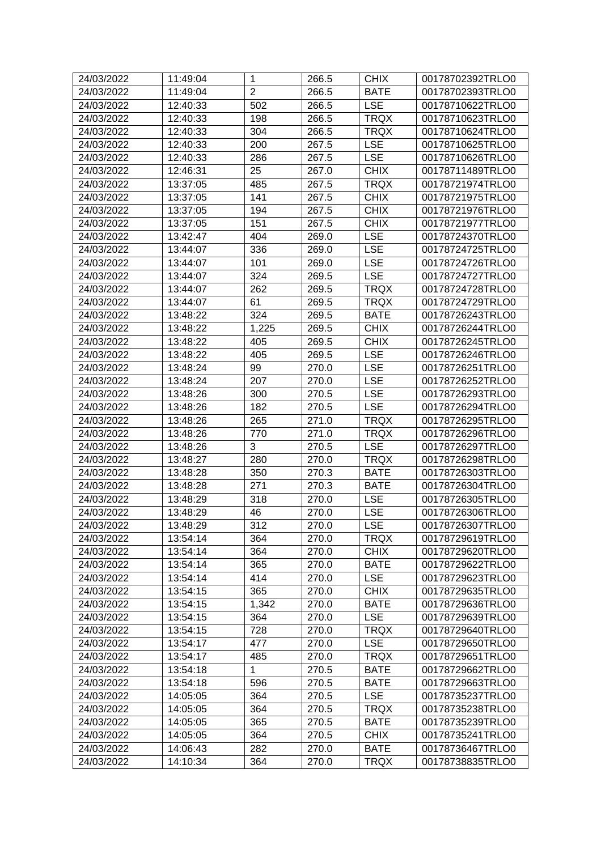| 24/03/2022               | 11:49:04             | 1              | 266.5          | <b>CHIX</b>         | 00178702392TRLO0                     |
|--------------------------|----------------------|----------------|----------------|---------------------|--------------------------------------|
| 24/03/2022               | 11:49:04             | $\overline{2}$ | 266.5          | <b>BATE</b>         | 00178702393TRLO0                     |
| 24/03/2022               | 12:40:33             | 502            | 266.5          | <b>LSE</b>          | 00178710622TRLO0                     |
| 24/03/2022               | 12:40:33             | 198            | 266.5          | <b>TRQX</b>         | 00178710623TRLO0                     |
| 24/03/2022               | 12:40:33             | 304            | 266.5          | <b>TRQX</b>         | 00178710624TRLO0                     |
| 24/03/2022               | 12:40:33             | 200            | 267.5          | <b>LSE</b>          | 00178710625TRLO0                     |
| 24/03/2022               | 12:40:33             | 286            | 267.5          | <b>LSE</b>          | 00178710626TRLO0                     |
| 24/03/2022               | 12:46:31             | 25             | 267.0          | <b>CHIX</b>         | 00178711489TRLO0                     |
| 24/03/2022               | 13:37:05             | 485            | 267.5          | <b>TRQX</b>         | 00178721974TRLO0                     |
| 24/03/2022               | 13:37:05             | 141            | 267.5          | <b>CHIX</b>         | 00178721975TRLO0                     |
| 24/03/2022               | 13:37:05             | 194            | 267.5          | <b>CHIX</b>         | 00178721976TRLO0                     |
| 24/03/2022               | 13:37:05             | 151            | 267.5          | <b>CHIX</b>         | 00178721977TRLO0                     |
| 24/03/2022               | 13:42:47             | 404            | 269.0          | <b>LSE</b>          | 00178724370TRLO0                     |
| 24/03/2022               | 13:44:07             | 336            | 269.0          | <b>LSE</b>          | 00178724725TRLO0                     |
| 24/03/2022               | 13:44:07             | 101            | 269.0          | <b>LSE</b>          | 00178724726TRLO0                     |
| 24/03/2022               | 13:44:07             | 324            | 269.5          | <b>LSE</b>          | 00178724727TRLO0                     |
| 24/03/2022               | 13:44:07             | 262            | 269.5          | <b>TRQX</b>         | 00178724728TRLO0                     |
| 24/03/2022               | 13:44:07             | 61             | 269.5          | <b>TRQX</b>         | 00178724729TRLO0                     |
| 24/03/2022               | 13:48:22             | 324            | 269.5          | <b>BATE</b>         | 00178726243TRLO0                     |
| 24/03/2022               | 13:48:22             | 1,225          | 269.5          | <b>CHIX</b>         | 00178726244TRLO0                     |
| 24/03/2022               | 13:48:22             | 405            | 269.5          | <b>CHIX</b>         | 00178726245TRLO0                     |
| 24/03/2022               | 13:48:22             | 405            | 269.5          | <b>LSE</b>          | 00178726246TRLO0                     |
| 24/03/2022               | 13:48:24             | 99             | 270.0          | <b>LSE</b>          | 00178726251TRLO0                     |
| 24/03/2022               | 13:48:24             | 207            | 270.0          | <b>LSE</b>          | 00178726252TRLO0                     |
| 24/03/2022               | 13:48:26             | 300            | 270.5          | <b>LSE</b>          | 00178726293TRLO0                     |
| 24/03/2022               | 13:48:26             | 182            | 270.5          | <b>LSE</b>          | 00178726294TRLO0                     |
| 24/03/2022               | 13:48:26             | 265            | 271.0          | <b>TRQX</b>         | 00178726295TRLO0                     |
| 24/03/2022               | 13:48:26             | 770            | 271.0          | <b>TRQX</b>         | 00178726296TRLO0                     |
| 24/03/2022               | 13:48:26             | 3              | 270.5          | <b>LSE</b>          | 00178726297TRLO0                     |
| 24/03/2022               | 13:48:27             | 280            | 270.0          | <b>TRQX</b>         | 00178726298TRLO0                     |
| 24/03/2022               | 13:48:28             | 350            | 270.3          | <b>BATE</b>         | 00178726303TRLO0                     |
| 24/03/2022               | 13:48:28             | 271            | 270.3          | <b>BATE</b>         | 00178726304TRLO0                     |
| 24/03/2022               | 13:48:29             | 318            | 270.0          | <b>LSE</b>          | 00178726305TRLO0                     |
| 24/03/2022               | 13:48:29             | 46             | 270.0          | <b>LSE</b>          | 00178726306TRLO0                     |
| 24/03/2022               | 13:48:29             | 312            | 270.0          | <b>LSE</b>          | 00178726307TRLO0                     |
| 24/03/2022               | 13:54:14             | 364            | 270.0          | <b>TRQX</b>         | 00178729619TRLO0                     |
| 24/03/2022               | 13:54:14             | 364            | 270.0          | <b>CHIX</b>         | 00178729620TRLO0                     |
| 24/03/2022               | 13:54:14             | 365            | 270.0          | <b>BATE</b>         | 00178729622TRLO0                     |
| 24/03/2022               | 13:54:14             | 414            | 270.0          | <b>LSE</b>          | 00178729623TRLO0                     |
| 24/03/2022               | 13:54:15             | 365            | 270.0          | <b>CHIX</b>         | 00178729635TRLO0                     |
| 24/03/2022               | 13:54:15             | 1,342          | 270.0          | <b>BATE</b>         | 00178729636TRLO0                     |
| 24/03/2022               | 13:54:15             | 364            | 270.0          | <b>LSE</b>          | 00178729639TRLO0                     |
| 24/03/2022               | 13:54:15             | 728            | 270.0          | <b>TRQX</b>         | 00178729640TRLO0                     |
| 24/03/2022               | 13:54:17             | 477            | 270.0          | <b>LSE</b>          | 00178729650TRLO0                     |
| 24/03/2022               | 13:54:17             | 485            | 270.0          | <b>TRQX</b>         | 00178729651TRLO0                     |
|                          | 13:54:18             | 1              | 270.5          | <b>BATE</b>         |                                      |
| 24/03/2022               |                      | 596            |                |                     | 00178729662TRLO0                     |
| 24/03/2022               | 13:54:18             |                | 270.5          | <b>BATE</b>         | 00178729663TRLO0                     |
| 24/03/2022               | 14:05:05             | 364            | 270.5          | <b>LSE</b>          | 00178735237TRLO0                     |
| 24/03/2022<br>24/03/2022 | 14:05:05<br>14:05:05 | 364<br>365     | 270.5<br>270.5 | TRQX<br><b>BATE</b> | 00178735238TRLO0<br>00178735239TRLO0 |
| 24/03/2022               |                      | 364            | 270.5          | <b>CHIX</b>         | 00178735241TRLO0                     |
|                          | 14:05:05             |                |                |                     |                                      |
| 24/03/2022               | 14:06:43             | 282            | 270.0          | <b>BATE</b>         | 00178736467TRLO0                     |
| 24/03/2022               | 14:10:34             | 364            | 270.0          | <b>TRQX</b>         | 00178738835TRLO0                     |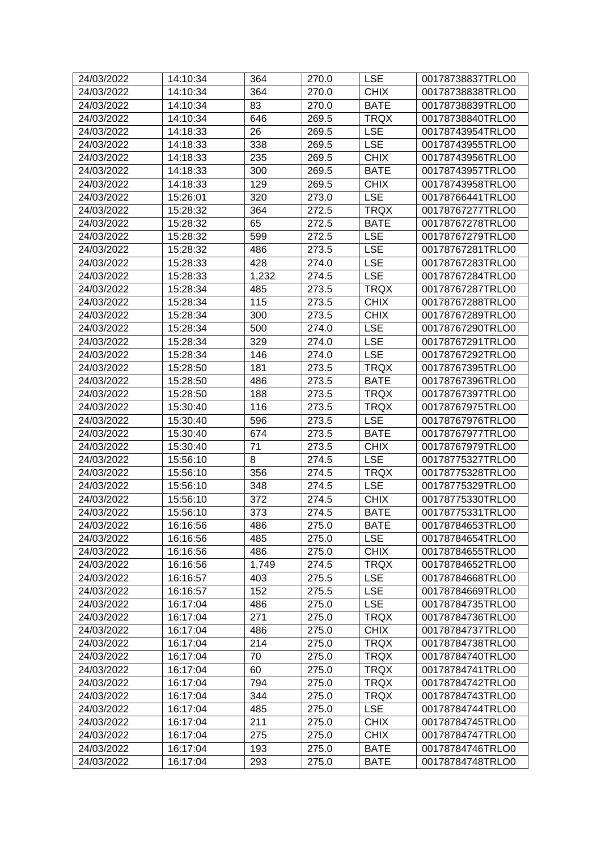| 24/03/2022 | 14:10:34 | 364   | 270.0              | <b>LSE</b>  | 00178738837TRLO0 |
|------------|----------|-------|--------------------|-------------|------------------|
| 24/03/2022 | 14:10:34 | 364   | 270.0              | <b>CHIX</b> | 00178738838TRLO0 |
| 24/03/2022 | 14:10:34 | 83    | 270.0              | <b>BATE</b> | 00178738839TRLO0 |
| 24/03/2022 | 14:10:34 | 646   | 269.5              | <b>TRQX</b> | 00178738840TRLO0 |
| 24/03/2022 | 14:18:33 | 26    | 269.5              | <b>LSE</b>  | 00178743954TRLO0 |
| 24/03/2022 | 14:18:33 | 338   | 269.5              | <b>LSE</b>  | 00178743955TRLO0 |
| 24/03/2022 | 14:18:33 | 235   | 269.5              | <b>CHIX</b> | 00178743956TRLO0 |
| 24/03/2022 | 14:18:33 | 300   | 269.5              | <b>BATE</b> | 00178743957TRLO0 |
| 24/03/2022 | 14:18:33 | 129   | 269.5              | <b>CHIX</b> | 00178743958TRLO0 |
| 24/03/2022 | 15:26:01 | 320   | 273.0              | <b>LSE</b>  | 00178766441TRLO0 |
| 24/03/2022 | 15:28:32 | 364   | 272.5              | <b>TRQX</b> | 00178767277TRLO0 |
| 24/03/2022 | 15:28:32 | 65    | 272.5              | <b>BATE</b> | 00178767278TRLO0 |
| 24/03/2022 | 15:28:32 | 599   | 272.5              | <b>LSE</b>  | 00178767279TRLO0 |
| 24/03/2022 | 15:28:32 | 486   | 273.5              | <b>LSE</b>  | 00178767281TRLO0 |
| 24/03/2022 | 15:28:33 | 428   | 274.0              | <b>LSE</b>  | 00178767283TRLO0 |
| 24/03/2022 | 15:28:33 | 1,232 | 274.5              | <b>LSE</b>  | 00178767284TRLO0 |
| 24/03/2022 | 15:28:34 | 485   | 273.5              | <b>TRQX</b> | 00178767287TRLO0 |
| 24/03/2022 | 15:28:34 | 115   | 273.5              | <b>CHIX</b> | 00178767288TRLO0 |
| 24/03/2022 | 15:28:34 | 300   | 273.5              | <b>CHIX</b> | 00178767289TRLO0 |
| 24/03/2022 | 15:28:34 | 500   | 274.0              | <b>LSE</b>  | 00178767290TRLO0 |
| 24/03/2022 | 15:28:34 | 329   | 274.0              | <b>LSE</b>  | 00178767291TRLO0 |
| 24/03/2022 | 15:28:34 | 146   | 274.0              | <b>LSE</b>  | 00178767292TRLO0 |
| 24/03/2022 | 15:28:50 | 181   | 273.5              | <b>TRQX</b> | 00178767395TRLO0 |
| 24/03/2022 | 15:28:50 | 486   | 273.5              | <b>BATE</b> | 00178767396TRLO0 |
| 24/03/2022 | 15:28:50 | 188   | 273.5              | <b>TRQX</b> | 00178767397TRLO0 |
| 24/03/2022 | 15:30:40 | 116   | 273.5              | <b>TRQX</b> | 00178767975TRLO0 |
| 24/03/2022 | 15:30:40 | 596   | 273.5              | <b>LSE</b>  | 00178767976TRLO0 |
| 24/03/2022 | 15:30:40 | 674   | 273.5              | <b>BATE</b> | 00178767977TRLO0 |
| 24/03/2022 | 15:30:40 | 71    | 273.5              | <b>CHIX</b> | 00178767979TRLO0 |
| 24/03/2022 | 15:56:10 | 8     | 274.5              | <b>LSE</b>  | 00178775327TRLO0 |
| 24/03/2022 | 15:56:10 | 356   | 274.5              | <b>TRQX</b> | 00178775328TRLO0 |
| 24/03/2022 | 15:56:10 | 348   | 274.5              | <b>LSE</b>  | 00178775329TRLO0 |
| 24/03/2022 | 15:56:10 | 372   | 274.5              | <b>CHIX</b> | 00178775330TRLO0 |
| 24/03/2022 | 15:56:10 | 373   | 274.5              | <b>BATE</b> | 00178775331TRLO0 |
| 24/03/2022 | 16:16:56 | 486   | $\overline{2}75.0$ | <b>BATE</b> | 00178784653TRLO0 |
| 24/03/2022 | 16:16:56 | 485   | 275.0              | <b>LSE</b>  | 00178784654TRLO0 |
| 24/03/2022 | 16:16:56 | 486   | 275.0              | <b>CHIX</b> | 00178784655TRLO0 |
| 24/03/2022 | 16:16:56 | 1,749 | 274.5              | <b>TRQX</b> | 00178784652TRLO0 |
| 24/03/2022 | 16:16:57 | 403   | 275.5              | <b>LSE</b>  | 00178784668TRLO0 |
| 24/03/2022 | 16:16:57 | 152   | 275.5              | <b>LSE</b>  | 00178784669TRLO0 |
| 24/03/2022 | 16:17:04 | 486   | 275.0              | <b>LSE</b>  | 00178784735TRLO0 |
| 24/03/2022 | 16:17:04 | 271   | 275.0              | <b>TRQX</b> | 00178784736TRLO0 |
| 24/03/2022 | 16:17:04 | 486   | 275.0              | <b>CHIX</b> | 00178784737TRLO0 |
| 24/03/2022 | 16:17:04 | 214   | 275.0              | <b>TRQX</b> | 00178784738TRLO0 |
| 24/03/2022 | 16:17:04 | 70    | 275.0              | <b>TRQX</b> | 00178784740TRLO0 |
| 24/03/2022 | 16:17:04 | 60    | 275.0              | <b>TRQX</b> | 00178784741TRLO0 |
| 24/03/2022 | 16:17:04 | 794   | 275.0              | <b>TRQX</b> | 00178784742TRLO0 |
| 24/03/2022 | 16:17:04 | 344   | 275.0              | <b>TRQX</b> | 00178784743TRLO0 |
| 24/03/2022 | 16:17:04 | 485   | 275.0              | <b>LSE</b>  | 00178784744TRLO0 |
| 24/03/2022 | 16:17:04 | 211   | 275.0              | <b>CHIX</b> | 00178784745TRLO0 |
| 24/03/2022 | 16:17:04 | 275   | 275.0              | <b>CHIX</b> | 00178784747TRLO0 |
| 24/03/2022 | 16:17:04 | 193   | 275.0              | <b>BATE</b> | 00178784746TRLO0 |
| 24/03/2022 | 16:17:04 | 293   | 275.0              | <b>BATE</b> | 00178784748TRLO0 |
|            |          |       |                    |             |                  |